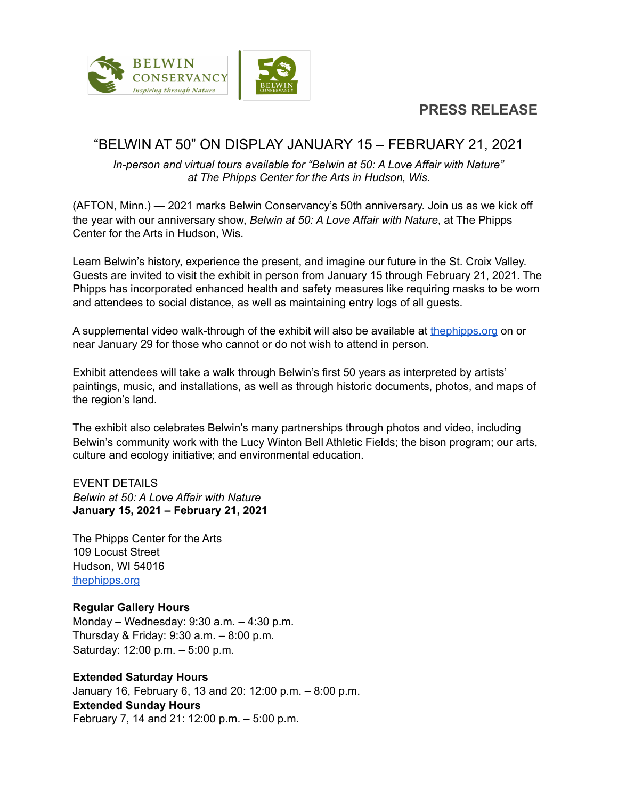**PRESS RELEASE**



# "BELWIN AT 50" ON DISPLAY JANUARY 15 – FEBRUARY 21, 2021

*In-person and virtual tours available for "Belwin at 50: A Love Affair with Nature" at The Phipps Center for the Arts in Hudson, Wis.*

(AFTON, Minn.) — 2021 marks Belwin Conservancy's 50th anniversary. Join us as we kick off the year with our anniversary show, *Belwin at 50: A Love Affair with Nature*, at The Phipps Center for the Arts in Hudson, Wis.

Learn Belwin's history, experience the present, and imagine our future in the St. Croix Valley. Guests are invited to visit the exhibit in person from January 15 through February 21, 2021. The Phipps has incorporated enhanced health and safety measures like requiring masks to be worn and attendees to social distance, as well as maintaining entry logs of all guests.

A supplemental video walk-through of the exhibit will also be available at the phipps.org on or near January 29 for those who cannot or do not wish to attend in person.

Exhibit attendees will take a walk through Belwin's first 50 years as interpreted by artists' paintings, music, and installations, as well as through historic documents, photos, and maps of the region's land.

The exhibit also celebrates Belwin's many partnerships through photos and video, including Belwin's community work with the Lucy Winton Bell Athletic Fields; the bison program; our arts, culture and ecology initiative; and environmental education.

#### EVENT DETAILS

*Belwin at 50: A Love Affair with Nature* **January 15, 2021 – February 21, 2021**

The Phipps Center for the Arts 109 Locust Street Hudson, WI 54016 [thephipps.org](https://thephipps.org/) 

## **Regular Gallery Hours**

Monday – Wednesday: 9:30 a.m. – 4:30 p.m. Thursday & Friday: 9:30 a.m. – 8:00 p.m. Saturday: 12:00 p.m. – 5:00 p.m.

## **Extended Saturday Hours**

January 16, February 6, 13 and 20: 12:00 p.m. – 8:00 p.m. **Extended Sunday Hours**  February 7, 14 and 21: 12:00 p.m. – 5:00 p.m.